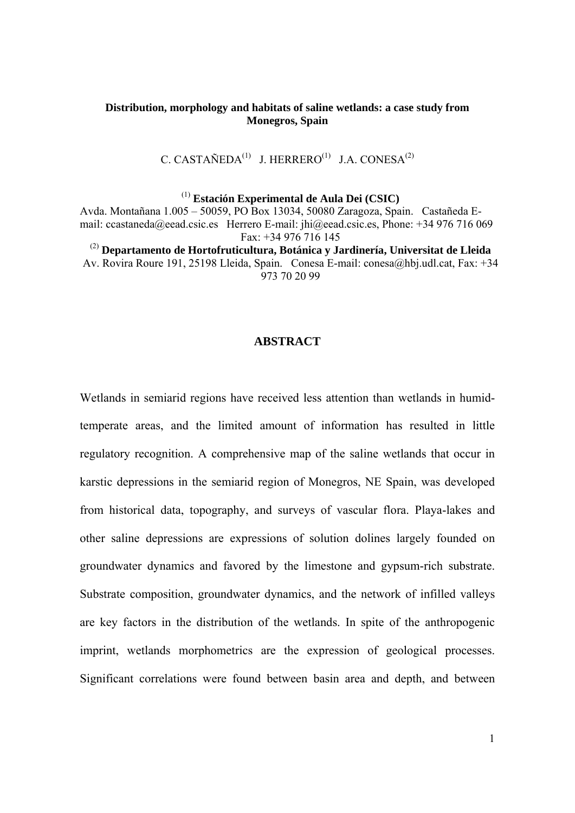# **Distribution, morphology and habitats of saline wetlands: a case study from Monegros, Spain**

C. CASTAÑEDA<sup>(1)</sup> J. HERRERO<sup>(1)</sup> J.A. CONESA<sup>(2)</sup>

(1) **Estación Experimental de Aula Dei (CSIC)**

Avda. Montañana 1.005 – 50059, PO Box 13034, 50080 Zaragoza, Spain. Castañeda Email: ccastaneda@eead.csic.es Herrero E-mail: jhi@eead.csic.es, Phone: +34 976 716 069 Fax: +34 976 716 145

(2) **Departamento de Hortofruticultura, Botánica y Jardinería, Universitat de Lleida** Av. Rovira Roure 191, 25198 Lleida, Spain. Conesa E-mail: conesa@hbj.udl.cat, Fax: +34 973 70 20 99

## **ABSTRACT**

Wetlands in semiarid regions have received less attention than wetlands in humidtemperate areas, and the limited amount of information has resulted in little regulatory recognition. A comprehensive map of the saline wetlands that occur in karstic depressions in the semiarid region of Monegros, NE Spain, was developed from historical data, topography, and surveys of vascular flora. Playa-lakes and other saline depressions are expressions of solution dolines largely founded on groundwater dynamics and favored by the limestone and gypsum-rich substrate. Substrate composition, groundwater dynamics, and the network of infilled valleys are key factors in the distribution of the wetlands. In spite of the anthropogenic imprint, wetlands morphometrics are the expression of geological processes. Significant correlations were found between basin area and depth, and between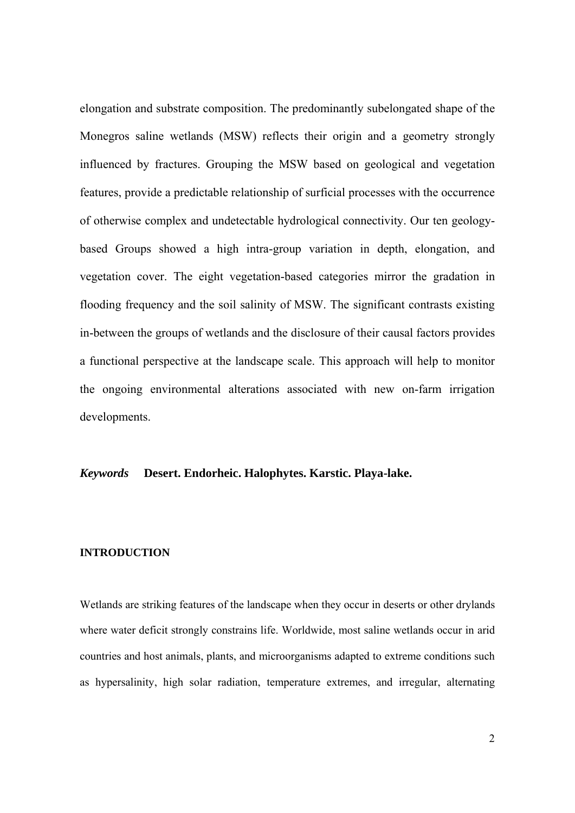elongation and substrate composition. The predominantly subelongated shape of the Monegros saline wetlands (MSW) reflects their origin and a geometry strongly influenced by fractures. Grouping the MSW based on geological and vegetation features, provide a predictable relationship of surficial processes with the occurrence of otherwise complex and undetectable hydrological connectivity. Our ten geologybased Groups showed a high intra-group variation in depth, elongation, and vegetation cover. The eight vegetation-based categories mirror the gradation in flooding frequency and the soil salinity of MSW. The significant contrasts existing in-between the groups of wetlands and the disclosure of their causal factors provides a functional perspective at the landscape scale. This approach will help to monitor the ongoing environmental alterations associated with new on-farm irrigation developments.

# *Keywords* **Desert. Endorheic. Halophytes. Karstic. Playa-lake.**

#### **INTRODUCTION**

Wetlands are striking features of the landscape when they occur in deserts or other drylands where water deficit strongly constrains life. Worldwide, most saline wetlands occur in arid countries and host animals, plants, and microorganisms adapted to extreme conditions such as hypersalinity, high solar radiation, temperature extremes, and irregular, alternating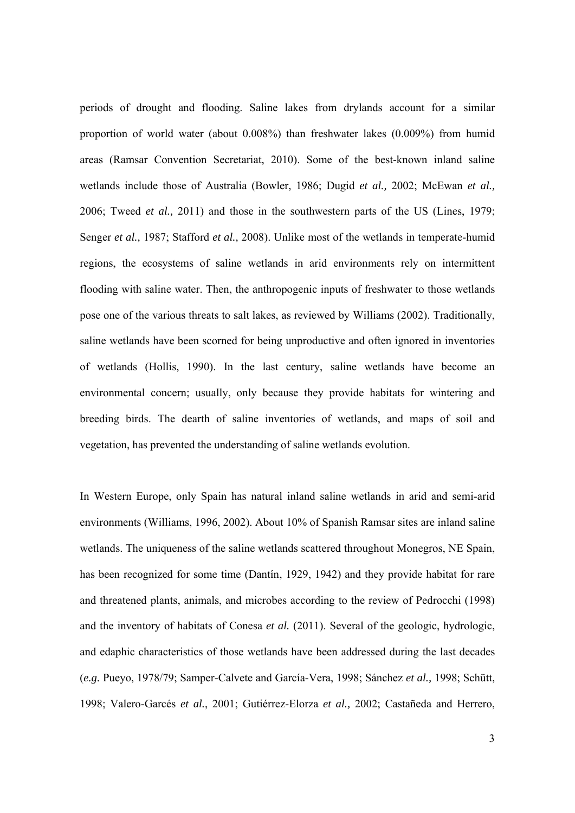periods of drought and flooding. Saline lakes from drylands account for a similar proportion of world water (about 0.008%) than freshwater lakes (0.009%) from humid areas (Ramsar Convention Secretariat, 2010). Some of the best-known inland saline wetlands include those of Australia (Bowler, 1986; Dugid *et al.,* 2002; McEwan *et al.,* 2006; Tweed *et al.,* 2011) and those in the southwestern parts of the US (Lines, 1979; Senger *et al.,* 1987; Stafford *et al.,* 2008). Unlike most of the wetlands in temperate-humid regions, the ecosystems of saline wetlands in arid environments rely on intermittent flooding with saline water. Then, the anthropogenic inputs of freshwater to those wetlands pose one of the various threats to salt lakes, as reviewed by Williams (2002). Traditionally, saline wetlands have been scorned for being unproductive and often ignored in inventories of wetlands (Hollis, 1990). In the last century, saline wetlands have become an environmental concern; usually, only because they provide habitats for wintering and breeding birds. The dearth of saline inventories of wetlands, and maps of soil and vegetation, has prevented the understanding of saline wetlands evolution.

In Western Europe, only Spain has natural inland saline wetlands in arid and semi-arid environments (Williams, 1996, 2002). About 10% of Spanish Ramsar sites are inland saline wetlands. The uniqueness of the saline wetlands scattered throughout Monegros, NE Spain, has been recognized for some time (Dantín, 1929, 1942) and they provide habitat for rare and threatened plants, animals, and microbes according to the review of Pedrocchi (1998) and the inventory of habitats of Conesa *et al.* (2011). Several of the geologic, hydrologic, and edaphic characteristics of those wetlands have been addressed during the last decades (*e.g.* Pueyo, 1978/79; Samper-Calvete and García-Vera, 1998; Sánchez *et al.,* 1998; Schütt, 1998; Valero-Garcés *et al.*, 2001; Gutiérrez-Elorza *et al.,* 2002; Castañeda and Herrero,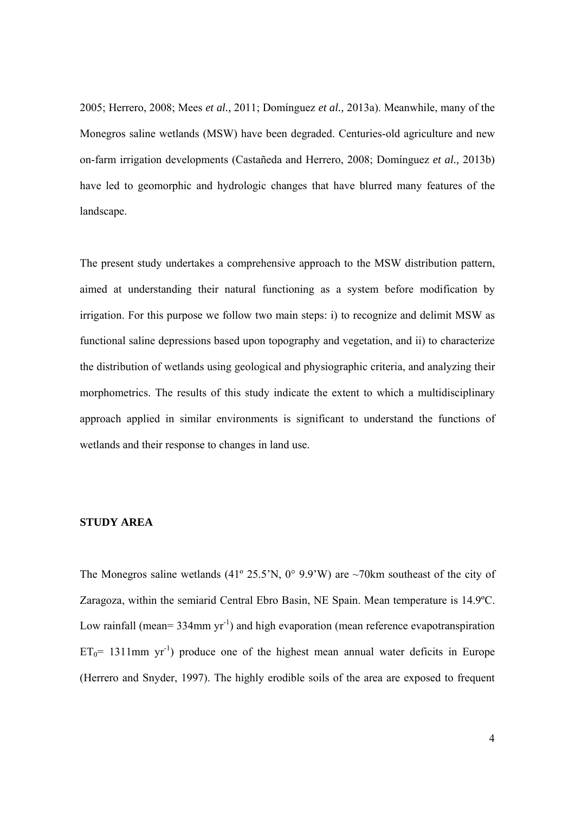2005; Herrero, 2008; Mees *et al.,* 2011; Domínguez *et al.,* 2013a). Meanwhile, many of the Monegros saline wetlands (MSW) have been degraded. Centuries-old agriculture and new on-farm irrigation developments (Castañeda and Herrero, 2008; Domínguez *et al.,* 2013b) have led to geomorphic and hydrologic changes that have blurred many features of the landscape.

The present study undertakes a comprehensive approach to the MSW distribution pattern, aimed at understanding their natural functioning as a system before modification by irrigation. For this purpose we follow two main steps: i) to recognize and delimit MSW as functional saline depressions based upon topography and vegetation, and ii) to characterize the distribution of wetlands using geological and physiographic criteria, and analyzing their morphometrics. The results of this study indicate the extent to which a multidisciplinary approach applied in similar environments is significant to understand the functions of wetlands and their response to changes in land use.

# **STUDY AREA**

The Monegros saline wetlands (41° 25.5'N, 0° 9.9'W) are ~70km southeast of the city of Zaragoza, within the semiarid Central Ebro Basin, NE Spain. Mean temperature is 14.9ºC. Low rainfall (mean=  $334$ mm  $yr^{-1}$ ) and high evaporation (mean reference evapotranspiration  $ET_0$ = 1311mm yr<sup>-1</sup>) produce one of the highest mean annual water deficits in Europe (Herrero and Snyder, 1997). The highly erodible soils of the area are exposed to frequent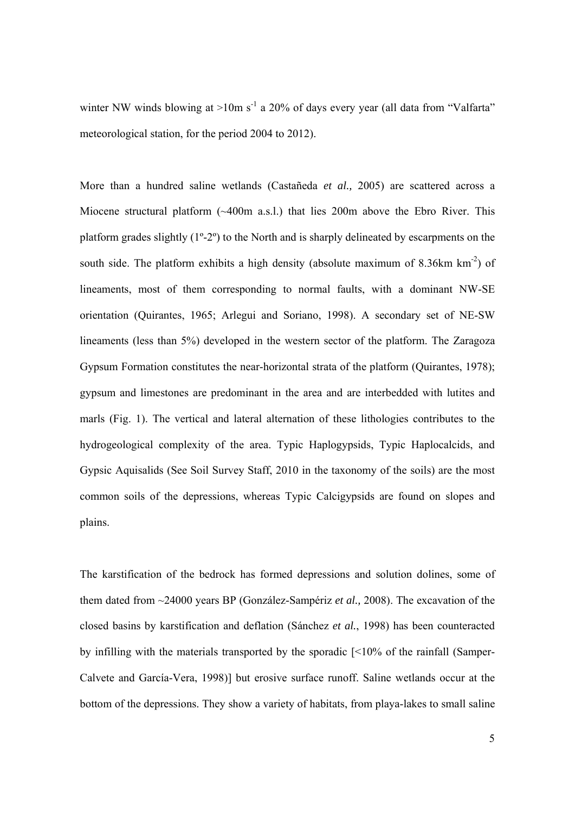winter NW winds blowing at  $>10$ m s<sup>-1</sup> a 20% of days every year (all data from "Valfarta" meteorological station, for the period 2004 to 2012).

More than a hundred saline wetlands (Castañeda *et al.,* 2005) are scattered across a Miocene structural platform (~400m a.s.l.) that lies 200m above the Ebro River. This platform grades slightly (1º-2º) to the North and is sharply delineated by escarpments on the south side. The platform exhibits a high density (absolute maximum of 8.36km km<sup>-2</sup>) of lineaments, most of them corresponding to normal faults, with a dominant NW-SE orientation (Quirantes, 1965; Arlegui and Soriano, 1998). A secondary set of NE-SW lineaments (less than 5%) developed in the western sector of the platform. The Zaragoza Gypsum Formation constitutes the near-horizontal strata of the platform (Quirantes, 1978); gypsum and limestones are predominant in the area and are interbedded with lutites and marls (Fig. 1). The vertical and lateral alternation of these lithologies contributes to the hydrogeological complexity of the area. Typic Haplogypsids, Typic Haplocalcids, and Gypsic Aquisalids (See Soil Survey Staff, 2010 in the taxonomy of the soils) are the most common soils of the depressions, whereas Typic Calcigypsids are found on slopes and plains.

The karstification of the bedrock has formed depressions and solution dolines, some of them dated from ~24000 years BP (González-Sampériz *et al.,* 2008). The excavation of the closed basins by karstification and deflation (Sánchez *et al.*, 1998) has been counteracted by infilling with the materials transported by the sporadic [<10% of the rainfall (Samper-Calvete and García-Vera, 1998)] but erosive surface runoff. Saline wetlands occur at the bottom of the depressions. They show a variety of habitats, from playa-lakes to small saline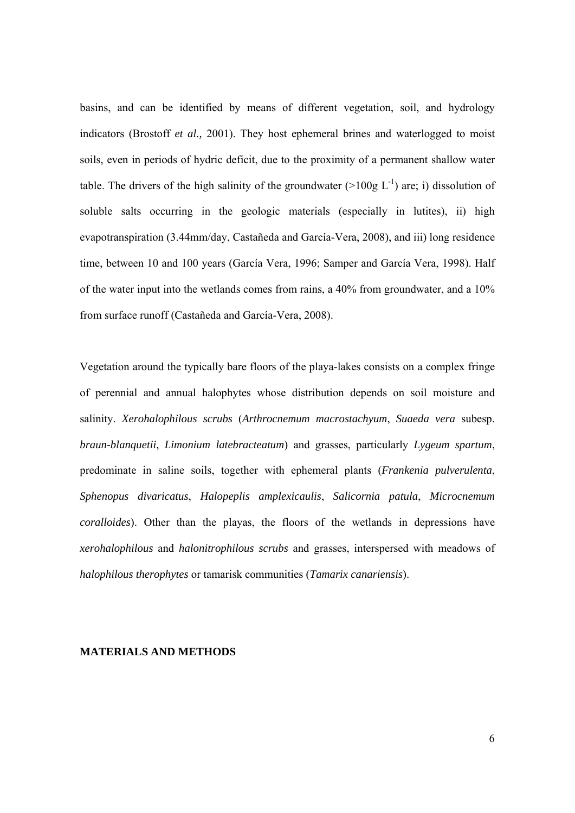basins, and can be identified by means of different vegetation, soil, and hydrology indicators (Brostoff *et al.,* 2001). They host ephemeral brines and waterlogged to moist soils, even in periods of hydric deficit, due to the proximity of a permanent shallow water table. The drivers of the high salinity of the groundwater ( $>100g$  L<sup>-1</sup>) are; i) dissolution of soluble salts occurring in the geologic materials (especially in lutites), ii) high evapotranspiration (3.44mm/day, Castañeda and García-Vera, 2008), and iii) long residence time, between 10 and 100 years (García Vera, 1996; Samper and García Vera, 1998). Half of the water input into the wetlands comes from rains, a 40% from groundwater, and a 10% from surface runoff (Castañeda and García-Vera, 2008).

Vegetation around the typically bare floors of the playa-lakes consists on a complex fringe of perennial and annual halophytes whose distribution depends on soil moisture and salinity. *Xerohalophilous scrubs* (*Arthrocnemum macrostachyum*, *Suaeda vera* subesp. *braun-blanquetii*, *Limonium latebracteatum*) and grasses, particularly *Lygeum spartum*, predominate in saline soils, together with ephemeral plants (*Frankenia pulverulenta*, *Sphenopus divaricatus*, *Halopeplis amplexicaulis*, *Salicornia patula*, *Microcnemum coralloides*). Other than the playas, the floors of the wetlands in depressions have *xerohalophilous* and *halonitrophilous scrubs* and grasses, interspersed with meadows of *halophilous therophytes* or tamarisk communities (*Tamarix canariensis*).

## **MATERIALS AND METHODS**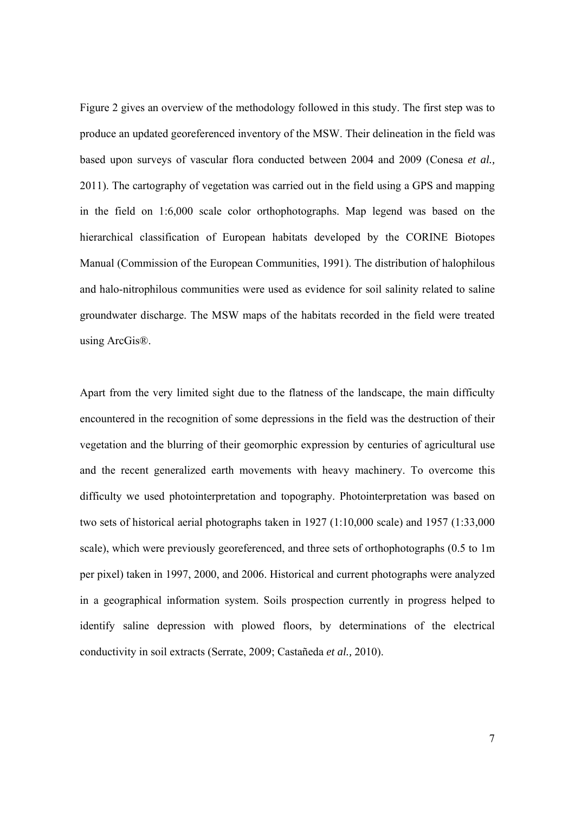Figure 2 gives an overview of the methodology followed in this study. The first step was to produce an updated georeferenced inventory of the MSW. Their delineation in the field was based upon surveys of vascular flora conducted between 2004 and 2009 (Conesa *et al.,* 2011). The cartography of vegetation was carried out in the field using a GPS and mapping in the field on 1:6,000 scale color orthophotographs. Map legend was based on the hierarchical classification of European habitats developed by the CORINE Biotopes Manual (Commission of the European Communities, 1991). The distribution of halophilous and halo-nitrophilous communities were used as evidence for soil salinity related to saline groundwater discharge. The MSW maps of the habitats recorded in the field were treated using ArcGis®.

Apart from the very limited sight due to the flatness of the landscape, the main difficulty encountered in the recognition of some depressions in the field was the destruction of their vegetation and the blurring of their geomorphic expression by centuries of agricultural use and the recent generalized earth movements with heavy machinery. To overcome this difficulty we used photointerpretation and topography. Photointerpretation was based on two sets of historical aerial photographs taken in 1927 (1:10,000 scale) and 1957 (1:33,000 scale), which were previously georeferenced, and three sets of orthophotographs (0.5 to 1m per pixel) taken in 1997, 2000, and 2006. Historical and current photographs were analyzed in a geographical information system. Soils prospection currently in progress helped to identify saline depression with plowed floors, by determinations of the electrical conductivity in soil extracts (Serrate, 2009; Castañeda *et al.,* 2010).

7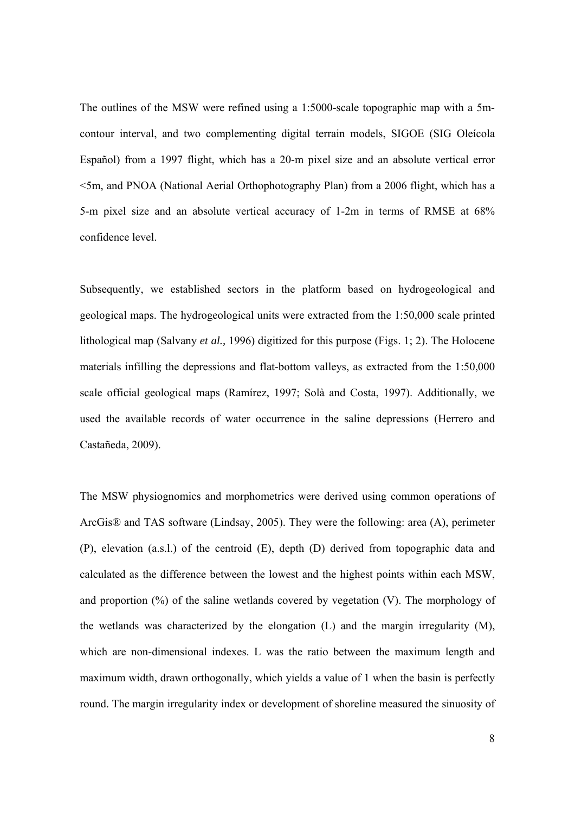The outlines of the MSW were refined using a 1:5000-scale topographic map with a 5mcontour interval, and two complementing digital terrain models, SIGOE (SIG Oleícola Español) from a 1997 flight, which has a 20-m pixel size and an absolute vertical error <5m, and PNOA (National Aerial Orthophotography Plan) from a 2006 flight, which has a 5-m pixel size and an absolute vertical accuracy of 1-2m in terms of RMSE at 68% confidence level.

Subsequently, we established sectors in the platform based on hydrogeological and geological maps. The hydrogeological units were extracted from the 1:50,000 scale printed lithological map (Salvany *et al.,* 1996) digitized for this purpose (Figs. 1; 2). The Holocene materials infilling the depressions and flat-bottom valleys, as extracted from the 1:50,000 scale official geological maps (Ramírez, 1997; Solà and Costa, 1997). Additionally, we used the available records of water occurrence in the saline depressions (Herrero and Castañeda, 2009).

The MSW physiognomics and morphometrics were derived using common operations of ArcGis® and TAS software (Lindsay, 2005). They were the following: area (A), perimeter (P), elevation (a.s.l.) of the centroid (E), depth (D) derived from topographic data and calculated as the difference between the lowest and the highest points within each MSW, and proportion  $(\%)$  of the saline wetlands covered by vegetation  $(V)$ . The morphology of the wetlands was characterized by the elongation (L) and the margin irregularity (M), which are non-dimensional indexes. L was the ratio between the maximum length and maximum width, drawn orthogonally, which yields a value of 1 when the basin is perfectly round. The margin irregularity index or development of shoreline measured the sinuosity of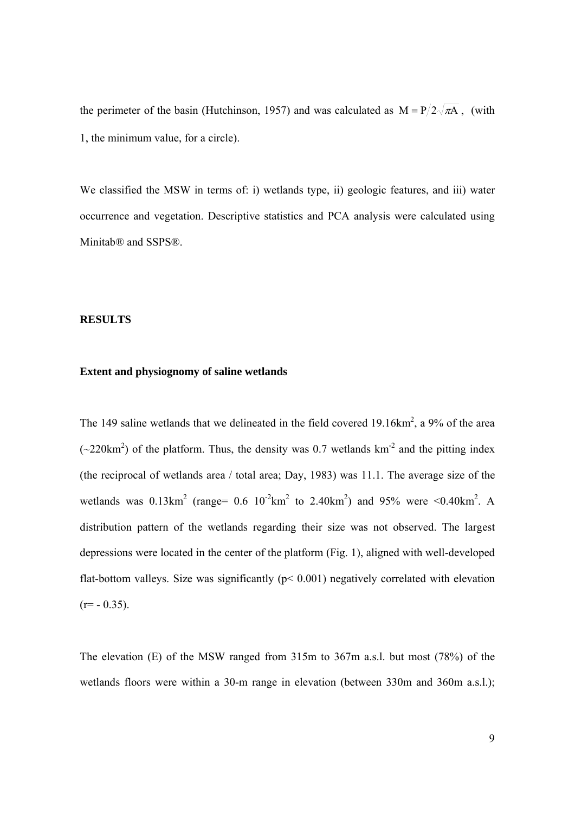the perimeter of the basin (Hutchinson, 1957) and was calculated as  $M = P/2\sqrt{\pi A}$ , (with 1, the minimum value, for a circle).

We classified the MSW in terms of: i) wetlands type, ii) geologic features, and iii) water occurrence and vegetation. Descriptive statistics and PCA analysis were calculated using Minitab® and SSPS®.

## **RESULTS**

## **Extent and physiognomy of saline wetlands**

The 149 saline wetlands that we delineated in the field covered 19.16 $km^2$ , a 9% of the area  $(\sim 220 \text{km}^2)$  of the platform. Thus, the density was 0.7 wetlands km<sup>-2</sup> and the pitting index (the reciprocal of wetlands area / total area; Day, 1983) was 11.1. The average size of the wetlands was  $0.13 \text{km}^2$  (range=  $0.6 \ 10^{-2} \text{km}^2$  to  $2.40 \text{km}^2$ ) and 95% were <0.40km<sup>2</sup>. A distribution pattern of the wetlands regarding their size was not observed. The largest depressions were located in the center of the platform (Fig. 1), aligned with well-developed flat-bottom valleys. Size was significantly ( $p$ < 0.001) negatively correlated with elevation  $(r=-0.35)$ .

The elevation (E) of the MSW ranged from 315m to 367m a.s.l. but most (78%) of the wetlands floors were within a 30-m range in elevation (between 330m and 360m a.s.l.);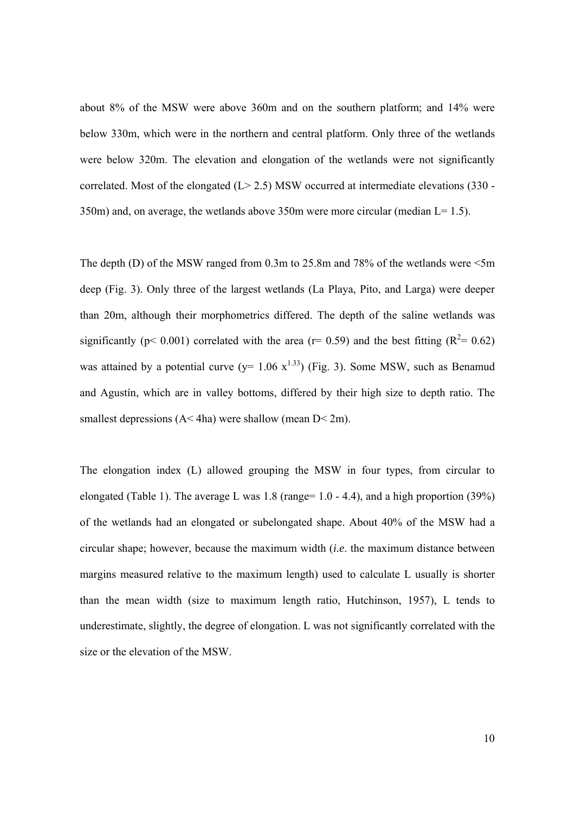about 8% of the MSW were above 360m and on the southern platform; and 14% were below 330m, which were in the northern and central platform. Only three of the wetlands were below 320m. The elevation and elongation of the wetlands were not significantly correlated. Most of the elongated  $(L > 2.5)$  MSW occurred at intermediate elevations (330 - $350$ m) and, on average, the wetlands above  $350$ m were more circular (median L= 1.5).

The depth (D) of the MSW ranged from 0.3m to 25.8m and 78% of the wetlands were  $\leq 5m$ deep (Fig. 3). Only three of the largest wetlands (La Playa, Pito, and Larga) were deeper than 20m, although their morphometrics differed. The depth of the saline wetlands was significantly ( $p < 0.001$ ) correlated with the area ( $r = 0.59$ ) and the best fitting ( $R^2 = 0.62$ ) was attained by a potential curve ( $y= 1.06 \text{ x}^{1.33}$ ) (Fig. 3). Some MSW, such as Benamud and Agustín, which are in valley bottoms, differed by their high size to depth ratio. The smallest depressions (A< 4ha) were shallow (mean D< 2m).

The elongation index (L) allowed grouping the MSW in four types, from circular to elongated (Table 1). The average L was  $1.8$  (range=  $1.0 - 4.4$ ), and a high proportion (39%) of the wetlands had an elongated or subelongated shape. About 40% of the MSW had a circular shape; however, because the maximum width (*i.e*. the maximum distance between margins measured relative to the maximum length) used to calculate L usually is shorter than the mean width (size to maximum length ratio, Hutchinson, 1957), L tends to underestimate, slightly, the degree of elongation. L was not significantly correlated with the size or the elevation of the MSW.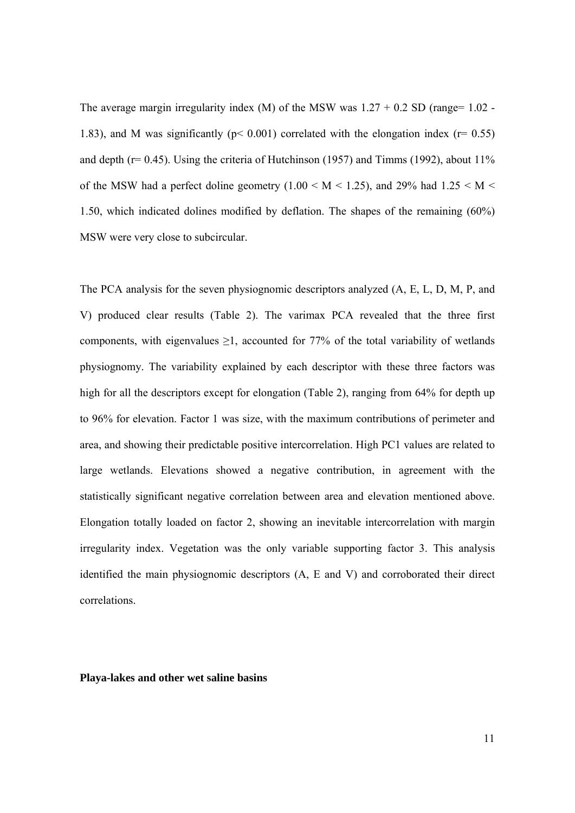The average margin irregularity index (M) of the MSW was  $1.27 + 0.2$  SD (range=  $1.02$  -1.83), and M was significantly ( $p < 0.001$ ) correlated with the elongation index ( $r = 0.55$ ) and depth ( $r= 0.45$ ). Using the criteria of Hutchinson (1957) and Timms (1992), about 11% of the MSW had a perfect doline geometry (1.00  $\leq M \leq$  1.25), and 29% had 1.25  $\leq M \leq$ 1.50, which indicated dolines modified by deflation. The shapes of the remaining (60%) MSW were very close to subcircular.

The PCA analysis for the seven physiognomic descriptors analyzed (A, E, L, D, M, P, and V) produced clear results (Table 2). The varimax PCA revealed that the three first components, with eigenvalues  $\geq 1$ , accounted for 77% of the total variability of wetlands physiognomy. The variability explained by each descriptor with these three factors was high for all the descriptors except for elongation (Table 2), ranging from 64% for depth up to 96% for elevation. Factor 1 was size, with the maximum contributions of perimeter and area, and showing their predictable positive intercorrelation. High PC1 values are related to large wetlands. Elevations showed a negative contribution, in agreement with the statistically significant negative correlation between area and elevation mentioned above. Elongation totally loaded on factor 2, showing an inevitable intercorrelation with margin irregularity index. Vegetation was the only variable supporting factor 3. This analysis identified the main physiognomic descriptors (A, E and V) and corroborated their direct correlations.

### **Playa-lakes and other wet saline basins**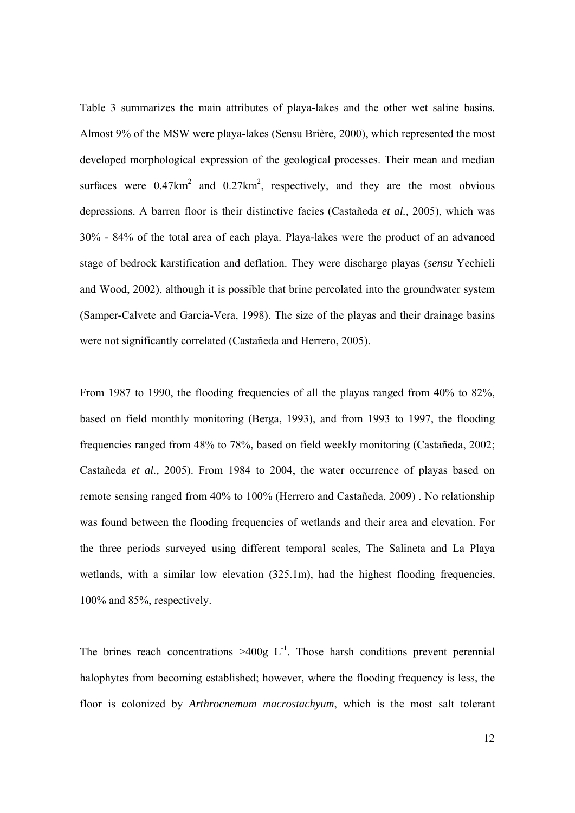Table 3 summarizes the main attributes of playa-lakes and the other wet saline basins. Almost 9% of the MSW were playa-lakes (Sensu Brière, 2000), which represented the most developed morphological expression of the geological processes. Their mean and median surfaces were  $0.47 \text{km}^2$  and  $0.27 \text{km}^2$ , respectively, and they are the most obvious depressions. A barren floor is their distinctive facies (Castañeda *et al.,* 2005), which was 30% - 84% of the total area of each playa. Playa-lakes were the product of an advanced stage of bedrock karstification and deflation. They were discharge playas (*sensu* Yechieli and Wood, 2002), although it is possible that brine percolated into the groundwater system (Samper-Calvete and García-Vera, 1998). The size of the playas and their drainage basins were not significantly correlated (Castañeda and Herrero, 2005).

From 1987 to 1990, the flooding frequencies of all the playas ranged from 40% to 82%, based on field monthly monitoring (Berga, 1993), and from 1993 to 1997, the flooding frequencies ranged from 48% to 78%, based on field weekly monitoring (Castañeda, 2002; Castañeda *et al.,* 2005). From 1984 to 2004, the water occurrence of playas based on remote sensing ranged from 40% to 100% (Herrero and Castañeda, 2009) . No relationship was found between the flooding frequencies of wetlands and their area and elevation. For the three periods surveyed using different temporal scales, The Salineta and La Playa wetlands, with a similar low elevation (325.1m), had the highest flooding frequencies, 100% and 85%, respectively.

The brines reach concentrations  $>400g$  L<sup>-1</sup>. Those harsh conditions prevent perennial halophytes from becoming established; however, where the flooding frequency is less, the floor is colonized by *Arthrocnemum macrostachyum*, which is the most salt tolerant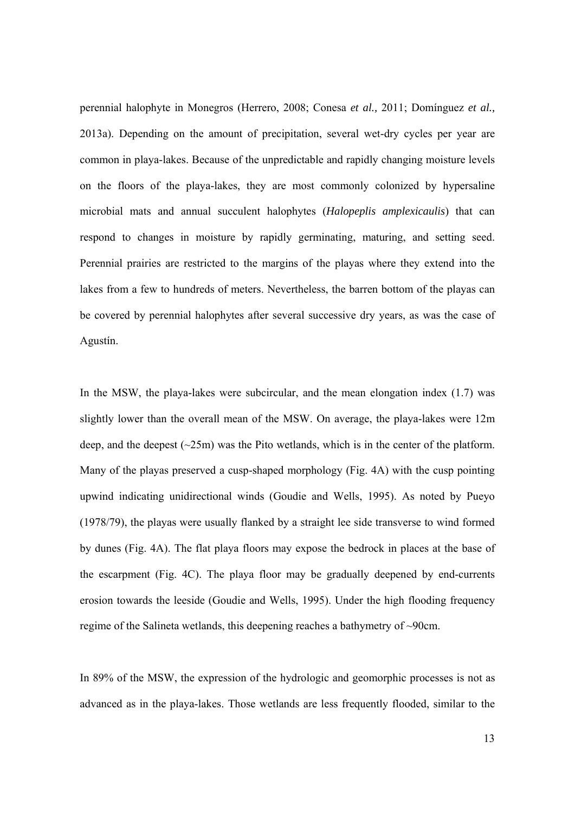perennial halophyte in Monegros (Herrero, 2008; Conesa *et al.,* 2011; Domínguez *et al.,* 2013a). Depending on the amount of precipitation, several wet-dry cycles per year are common in playa-lakes. Because of the unpredictable and rapidly changing moisture levels on the floors of the playa-lakes, they are most commonly colonized by hypersaline microbial mats and annual succulent halophytes (*Halopeplis amplexicaulis*) that can respond to changes in moisture by rapidly germinating, maturing, and setting seed. Perennial prairies are restricted to the margins of the playas where they extend into the lakes from a few to hundreds of meters. Nevertheless, the barren bottom of the playas can be covered by perennial halophytes after several successive dry years, as was the case of Agustín.

In the MSW, the playa-lakes were subcircular, and the mean elongation index (1.7) was slightly lower than the overall mean of the MSW. On average, the playa-lakes were 12m deep, and the deepest  $(\sim 25m)$  was the Pito wetlands, which is in the center of the platform. Many of the playas preserved a cusp-shaped morphology (Fig. 4A) with the cusp pointing upwind indicating unidirectional winds (Goudie and Wells, 1995). As noted by Pueyo (1978/79), the playas were usually flanked by a straight lee side transverse to wind formed by dunes (Fig. 4A). The flat playa floors may expose the bedrock in places at the base of the escarpment (Fig. 4C). The playa floor may be gradually deepened by end-currents erosion towards the leeside (Goudie and Wells, 1995). Under the high flooding frequency regime of the Salineta wetlands, this deepening reaches a bathymetry of ~90cm.

In 89% of the MSW, the expression of the hydrologic and geomorphic processes is not as advanced as in the playa-lakes. Those wetlands are less frequently flooded, similar to the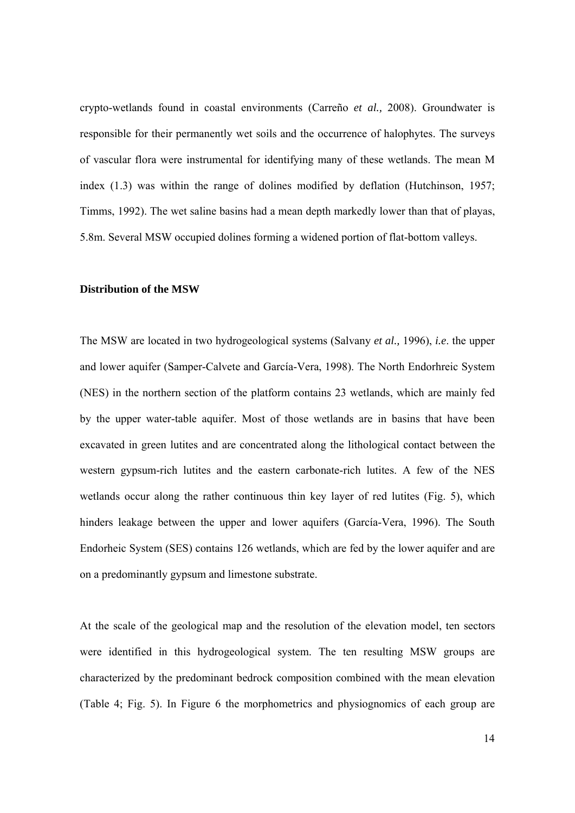crypto-wetlands found in coastal environments (Carreño *et al.,* 2008). Groundwater is responsible for their permanently wet soils and the occurrence of halophytes. The surveys of vascular flora were instrumental for identifying many of these wetlands. The mean M index (1.3) was within the range of dolines modified by deflation (Hutchinson, 1957; Timms, 1992). The wet saline basins had a mean depth markedly lower than that of playas, 5.8m. Several MSW occupied dolines forming a widened portion of flat-bottom valleys.

### **Distribution of the MSW**

The MSW are located in two hydrogeological systems (Salvany *et al.,* 1996), *i.e*. the upper and lower aquifer (Samper-Calvete and García-Vera, 1998). The North Endorhreic System (NES) in the northern section of the platform contains 23 wetlands, which are mainly fed by the upper water-table aquifer. Most of those wetlands are in basins that have been excavated in green lutites and are concentrated along the lithological contact between the western gypsum-rich lutites and the eastern carbonate-rich lutites. A few of the NES wetlands occur along the rather continuous thin key layer of red lutites (Fig. 5), which hinders leakage between the upper and lower aquifers (García-Vera, 1996). The South Endorheic System (SES) contains 126 wetlands, which are fed by the lower aquifer and are on a predominantly gypsum and limestone substrate.

At the scale of the geological map and the resolution of the elevation model, ten sectors were identified in this hydrogeological system. The ten resulting MSW groups are characterized by the predominant bedrock composition combined with the mean elevation (Table 4; Fig. 5). In Figure 6 the morphometrics and physiognomics of each group are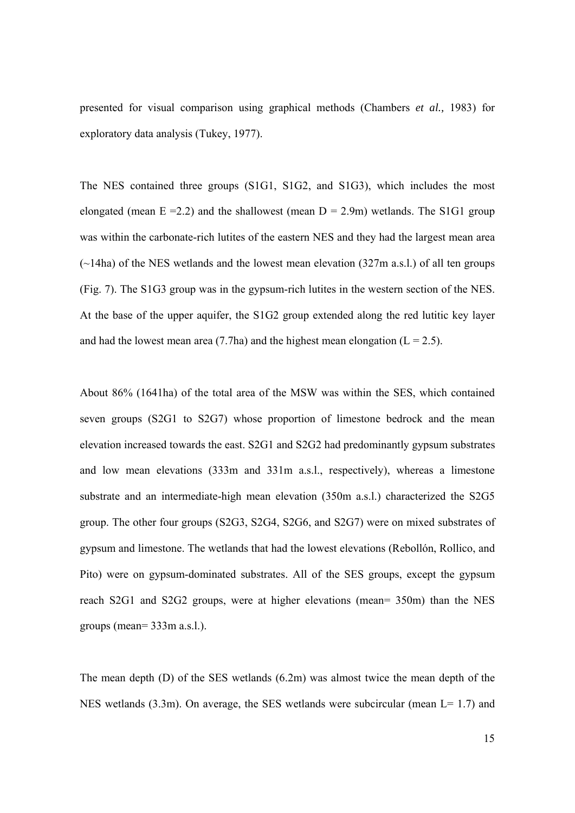presented for visual comparison using graphical methods (Chambers *et al.,* 1983) for exploratory data analysis (Tukey, 1977).

The NES contained three groups (S1G1, S1G2, and S1G3), which includes the most elongated (mean  $E = 2.2$ ) and the shallowest (mean  $D = 2.9$ m) wetlands. The S1G1 group was within the carbonate-rich lutites of the eastern NES and they had the largest mean area  $(\sim)$ 14ha) of the NES wetlands and the lowest mean elevation (327m a.s.l.) of all ten groups (Fig. 7). The S1G3 group was in the gypsum-rich lutites in the western section of the NES. At the base of the upper aquifer, the S1G2 group extended along the red lutitic key layer and had the lowest mean area (7.7ha) and the highest mean elongation ( $L = 2.5$ ).

About 86% (1641ha) of the total area of the MSW was within the SES, which contained seven groups (S2G1 to S2G7) whose proportion of limestone bedrock and the mean elevation increased towards the east. S2G1 and S2G2 had predominantly gypsum substrates and low mean elevations (333m and 331m a.s.l., respectively), whereas a limestone substrate and an intermediate-high mean elevation (350m a.s.l.) characterized the S2G5 group. The other four groups (S2G3, S2G4, S2G6, and S2G7) were on mixed substrates of gypsum and limestone. The wetlands that had the lowest elevations (Rebollón, Rollico, and Pito) were on gypsum-dominated substrates. All of the SES groups, except the gypsum reach S2G1 and S2G2 groups, were at higher elevations (mean= 350m) than the NES groups (mean= 333m a.s.l.).

The mean depth (D) of the SES wetlands (6.2m) was almost twice the mean depth of the NES wetlands  $(3.3m)$ . On average, the SES wetlands were subcircular (mean  $L = 1.7$ ) and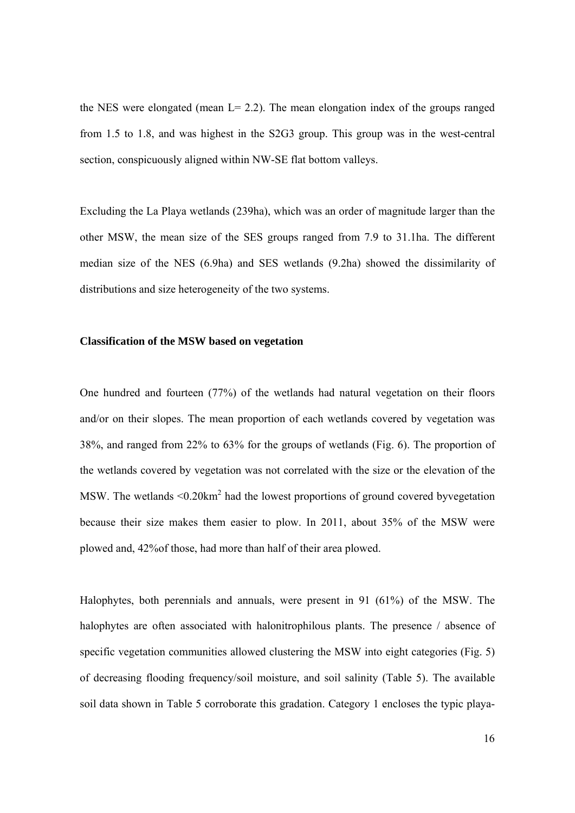the NES were elongated (mean  $L = 2.2$ ). The mean elongation index of the groups ranged from 1.5 to 1.8, and was highest in the S2G3 group. This group was in the west-central section, conspicuously aligned within NW-SE flat bottom valleys.

Excluding the La Playa wetlands (239ha), which was an order of magnitude larger than the other MSW, the mean size of the SES groups ranged from 7.9 to 31.1ha. The different median size of the NES (6.9ha) and SES wetlands (9.2ha) showed the dissimilarity of distributions and size heterogeneity of the two systems.

### **Classification of the MSW based on vegetation**

One hundred and fourteen (77%) of the wetlands had natural vegetation on their floors and/or on their slopes. The mean proportion of each wetlands covered by vegetation was 38%, and ranged from 22% to 63% for the groups of wetlands (Fig. 6). The proportion of the wetlands covered by vegetation was not correlated with the size or the elevation of the MSW. The wetlands  $\leq 0.20 \text{km}^2$  had the lowest proportions of ground covered byvegetation because their size makes them easier to plow. In 2011, about 35% of the MSW were plowed and, 42%of those, had more than half of their area plowed.

Halophytes, both perennials and annuals, were present in 91 (61%) of the MSW. The halophytes are often associated with halonitrophilous plants. The presence / absence of specific vegetation communities allowed clustering the MSW into eight categories (Fig. 5) of decreasing flooding frequency/soil moisture, and soil salinity (Table 5). The available soil data shown in Table 5 corroborate this gradation. Category 1 encloses the typic playa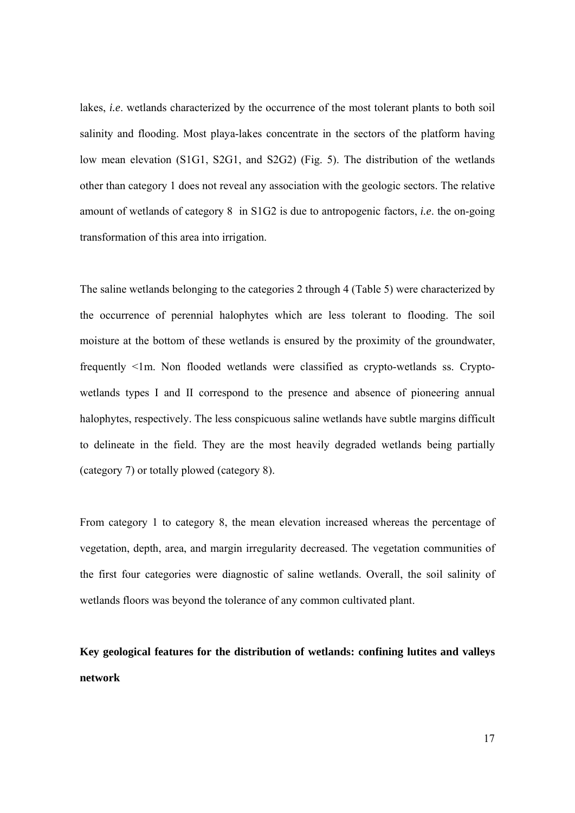lakes, *i.e*. wetlands characterized by the occurrence of the most tolerant plants to both soil salinity and flooding. Most playa-lakes concentrate in the sectors of the platform having low mean elevation (S1G1, S2G1, and S2G2) (Fig. 5). The distribution of the wetlands other than category 1 does not reveal any association with the geologic sectors. The relative amount of wetlands of category 8 in S1G2 is due to antropogenic factors, *i.e*. the on-going transformation of this area into irrigation.

The saline wetlands belonging to the categories 2 through 4 (Table 5) were characterized by the occurrence of perennial halophytes which are less tolerant to flooding. The soil moisture at the bottom of these wetlands is ensured by the proximity of the groundwater, frequently <1m. Non flooded wetlands were classified as crypto-wetlands ss. Cryptowetlands types I and II correspond to the presence and absence of pioneering annual halophytes, respectively. The less conspicuous saline wetlands have subtle margins difficult to delineate in the field. They are the most heavily degraded wetlands being partially (category 7) or totally plowed (category 8).

From category 1 to category 8, the mean elevation increased whereas the percentage of vegetation, depth, area, and margin irregularity decreased. The vegetation communities of the first four categories were diagnostic of saline wetlands. Overall, the soil salinity of wetlands floors was beyond the tolerance of any common cultivated plant.

**Key geological features for the distribution of wetlands: confining lutites and valleys network**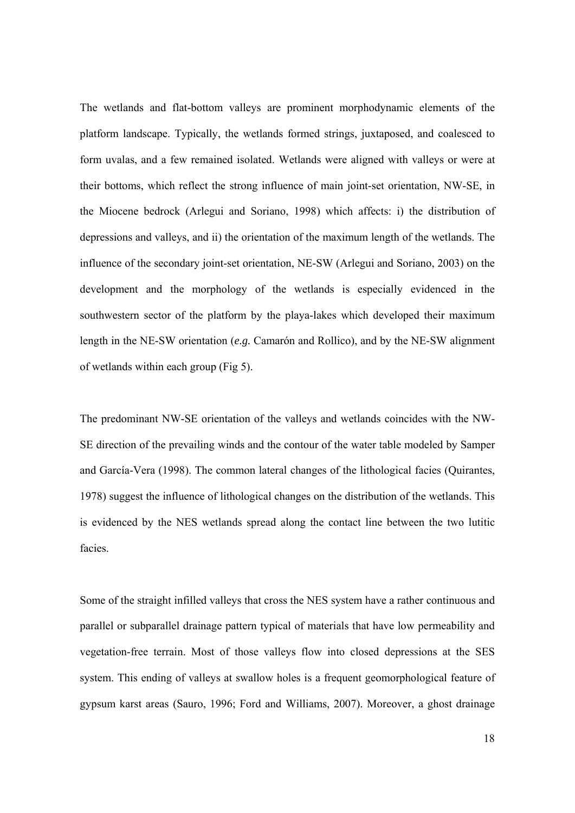The wetlands and flat-bottom valleys are prominent morphodynamic elements of the platform landscape. Typically, the wetlands formed strings, juxtaposed, and coalesced to form uvalas, and a few remained isolated. Wetlands were aligned with valleys or were at their bottoms, which reflect the strong influence of main joint-set orientation, NW-SE, in the Miocene bedrock (Arlegui and Soriano, 1998) which affects: i) the distribution of depressions and valleys, and ii) the orientation of the maximum length of the wetlands. The influence of the secondary joint-set orientation, NE-SW (Arlegui and Soriano, 2003) on the development and the morphology of the wetlands is especially evidenced in the southwestern sector of the platform by the playa-lakes which developed their maximum length in the NE-SW orientation (*e.g.* Camarón and Rollico), and by the NE-SW alignment of wetlands within each group (Fig 5).

The predominant NW-SE orientation of the valleys and wetlands coincides with the NW-SE direction of the prevailing winds and the contour of the water table modeled by Samper and García-Vera (1998). The common lateral changes of the lithological facies (Quirantes, 1978) suggest the influence of lithological changes on the distribution of the wetlands. This is evidenced by the NES wetlands spread along the contact line between the two lutitic facies.

Some of the straight infilled valleys that cross the NES system have a rather continuous and parallel or subparallel drainage pattern typical of materials that have low permeability and vegetation-free terrain. Most of those valleys flow into closed depressions at the SES system. This ending of valleys at swallow holes is a frequent geomorphological feature of gypsum karst areas (Sauro, 1996; Ford and Williams, 2007). Moreover, a ghost drainage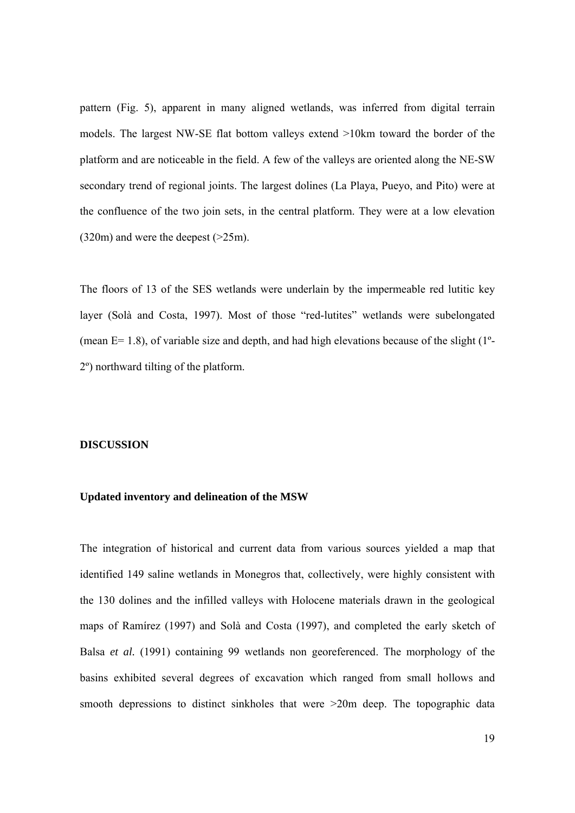pattern (Fig. 5), apparent in many aligned wetlands, was inferred from digital terrain models. The largest NW-SE flat bottom valleys extend >10km toward the border of the platform and are noticeable in the field. A few of the valleys are oriented along the NE-SW secondary trend of regional joints. The largest dolines (La Playa, Pueyo, and Pito) were at the confluence of the two join sets, in the central platform. They were at a low elevation (320m) and were the deepest (>25m).

The floors of 13 of the SES wetlands were underlain by the impermeable red lutitic key layer (Solà and Costa, 1997). Most of those "red-lutites" wetlands were subelongated (mean  $E= 1.8$ ), of variable size and depth, and had high elevations because of the slight (1<sup>o</sup>-2º) northward tilting of the platform.

#### **DISCUSSION**

## **Updated inventory and delineation of the MSW**

The integration of historical and current data from various sources yielded a map that identified 149 saline wetlands in Monegros that, collectively, were highly consistent with the 130 dolines and the infilled valleys with Holocene materials drawn in the geological maps of Ramírez (1997) and Solà and Costa (1997), and completed the early sketch of Balsa *et al.* (1991) containing 99 wetlands non georeferenced. The morphology of the basins exhibited several degrees of excavation which ranged from small hollows and smooth depressions to distinct sinkholes that were  $>20m$  deep. The topographic data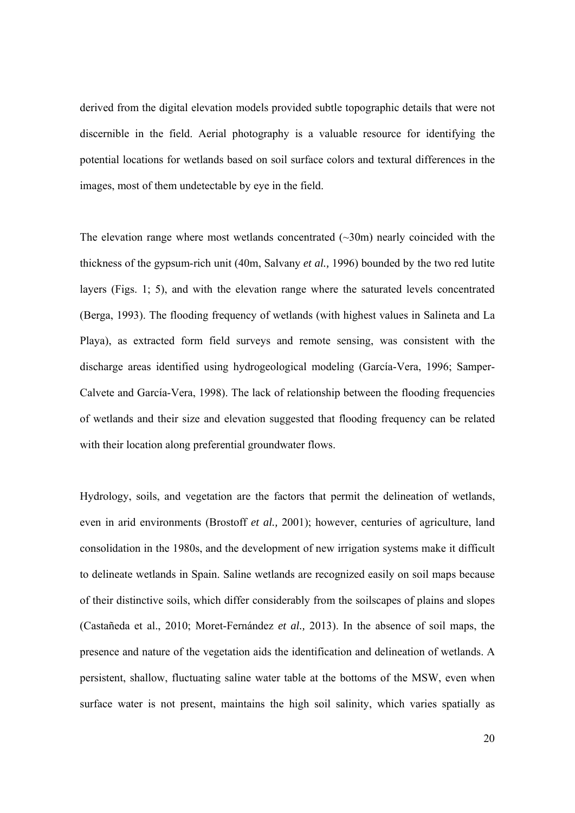derived from the digital elevation models provided subtle topographic details that were not discernible in the field. Aerial photography is a valuable resource for identifying the potential locations for wetlands based on soil surface colors and textural differences in the images, most of them undetectable by eye in the field.

The elevation range where most wetlands concentrated  $(\sim 30 \text{m})$  nearly coincided with the thickness of the gypsum-rich unit (40m, Salvany *et al.,* 1996) bounded by the two red lutite layers (Figs. 1; 5), and with the elevation range where the saturated levels concentrated (Berga, 1993). The flooding frequency of wetlands (with highest values in Salineta and La Playa), as extracted form field surveys and remote sensing, was consistent with the discharge areas identified using hydrogeological modeling (García-Vera, 1996; Samper-Calvete and García-Vera, 1998). The lack of relationship between the flooding frequencies of wetlands and their size and elevation suggested that flooding frequency can be related with their location along preferential groundwater flows.

Hydrology, soils, and vegetation are the factors that permit the delineation of wetlands, even in arid environments (Brostoff *et al.,* 2001); however, centuries of agriculture, land consolidation in the 1980s, and the development of new irrigation systems make it difficult to delineate wetlands in Spain. Saline wetlands are recognized easily on soil maps because of their distinctive soils, which differ considerably from the soilscapes of plains and slopes (Castañeda et al., 2010; Moret-Fernández *et al.,* 2013). In the absence of soil maps, the presence and nature of the vegetation aids the identification and delineation of wetlands. A persistent, shallow, fluctuating saline water table at the bottoms of the MSW, even when surface water is not present, maintains the high soil salinity, which varies spatially as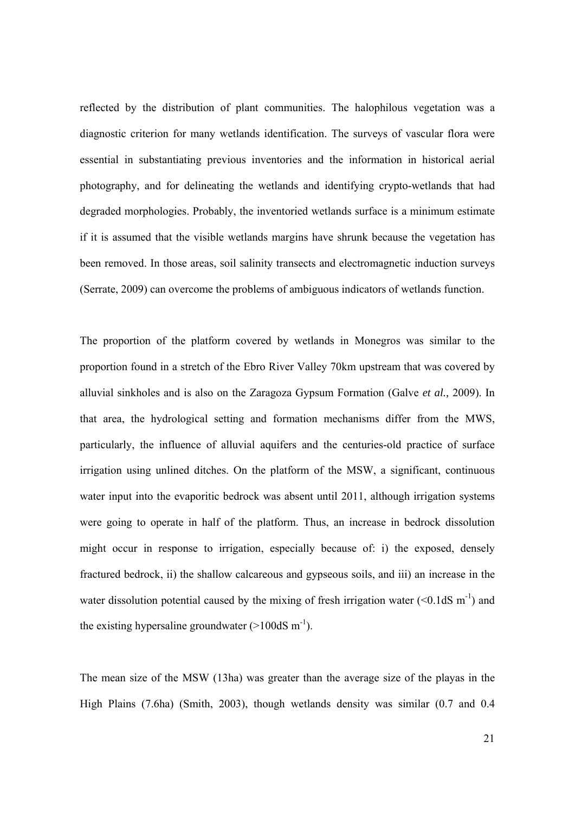reflected by the distribution of plant communities. The halophilous vegetation was a diagnostic criterion for many wetlands identification. The surveys of vascular flora were essential in substantiating previous inventories and the information in historical aerial photography, and for delineating the wetlands and identifying crypto-wetlands that had degraded morphologies. Probably, the inventoried wetlands surface is a minimum estimate if it is assumed that the visible wetlands margins have shrunk because the vegetation has been removed. In those areas, soil salinity transects and electromagnetic induction surveys (Serrate, 2009) can overcome the problems of ambiguous indicators of wetlands function.

The proportion of the platform covered by wetlands in Monegros was similar to the proportion found in a stretch of the Ebro River Valley 70km upstream that was covered by alluvial sinkholes and is also on the Zaragoza Gypsum Formation (Galve *et al.,* 2009). In that area, the hydrological setting and formation mechanisms differ from the MWS, particularly, the influence of alluvial aquifers and the centuries-old practice of surface irrigation using unlined ditches. On the platform of the MSW, a significant, continuous water input into the evaporitic bedrock was absent until 2011, although irrigation systems were going to operate in half of the platform. Thus, an increase in bedrock dissolution might occur in response to irrigation, especially because of: i) the exposed, densely fractured bedrock, ii) the shallow calcareous and gypseous soils, and iii) an increase in the water dissolution potential caused by the mixing of fresh irrigation water  $(<0.1dS \text{ m}^{-1})$  and the existing hypersaline groundwater  $(>100dS \, \text{m}^{-1})$ .

The mean size of the MSW (13ha) was greater than the average size of the playas in the High Plains (7.6ha) (Smith, 2003), though wetlands density was similar (0.7 and 0.4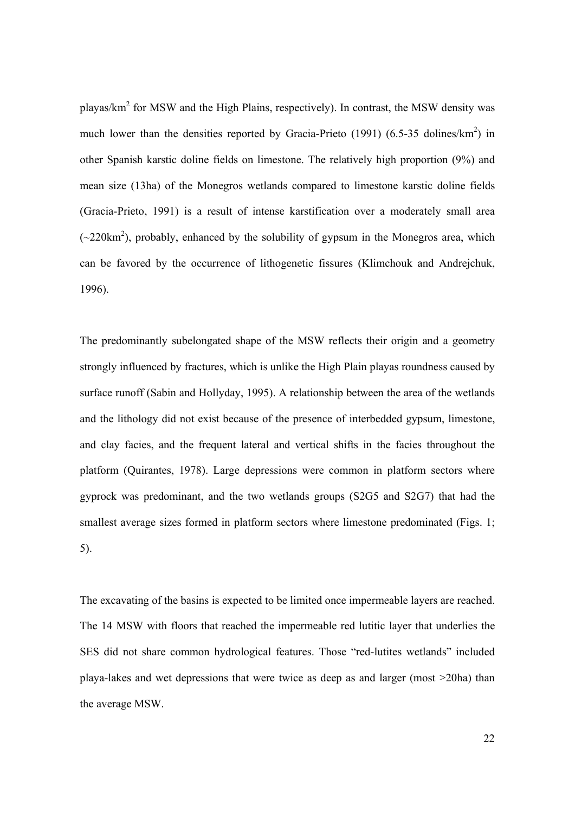playas/km<sup>2</sup> for MSW and the High Plains, respectively). In contrast, the MSW density was much lower than the densities reported by Gracia-Prieto (1991) (6.5-35 dolines/ $km^2$ ) in other Spanish karstic doline fields on limestone. The relatively high proportion (9%) and mean size (13ha) of the Monegros wetlands compared to limestone karstic doline fields (Gracia-Prieto, 1991) is a result of intense karstification over a moderately small area  $(\sim 220 \text{km}^2)$ , probably, enhanced by the solubility of gypsum in the Monegros area, which can be favored by the occurrence of lithogenetic fissures (Klimchouk and Andrejchuk, 1996).

The predominantly subelongated shape of the MSW reflects their origin and a geometry strongly influenced by fractures, which is unlike the High Plain playas roundness caused by surface runoff (Sabin and Hollyday, 1995). A relationship between the area of the wetlands and the lithology did not exist because of the presence of interbedded gypsum, limestone, and clay facies, and the frequent lateral and vertical shifts in the facies throughout the platform (Quirantes, 1978). Large depressions were common in platform sectors where gyprock was predominant, and the two wetlands groups (S2G5 and S2G7) that had the smallest average sizes formed in platform sectors where limestone predominated (Figs. 1; 5).

The excavating of the basins is expected to be limited once impermeable layers are reached. The 14 MSW with floors that reached the impermeable red lutitic layer that underlies the SES did not share common hydrological features. Those "red-lutites wetlands" included playa-lakes and wet depressions that were twice as deep as and larger (most >20ha) than the average MSW.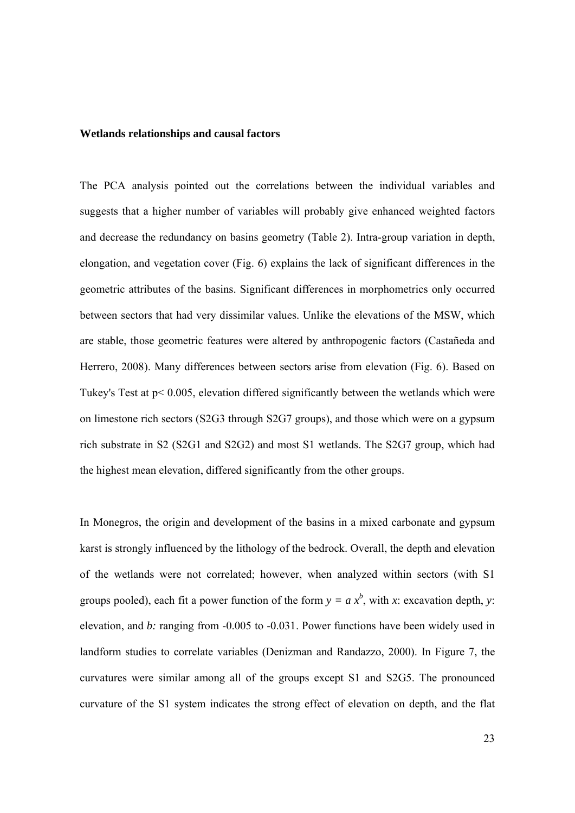## **Wetlands relationships and causal factors**

The PCA analysis pointed out the correlations between the individual variables and suggests that a higher number of variables will probably give enhanced weighted factors and decrease the redundancy on basins geometry (Table 2). Intra-group variation in depth, elongation, and vegetation cover (Fig. 6) explains the lack of significant differences in the geometric attributes of the basins. Significant differences in morphometrics only occurred between sectors that had very dissimilar values. Unlike the elevations of the MSW, which are stable, those geometric features were altered by anthropogenic factors (Castañeda and Herrero, 2008). Many differences between sectors arise from elevation (Fig. 6). Based on Tukey's Test at p< 0.005, elevation differed significantly between the wetlands which were on limestone rich sectors (S2G3 through S2G7 groups), and those which were on a gypsum rich substrate in S2 (S2G1 and S2G2) and most S1 wetlands. The S2G7 group, which had the highest mean elevation, differed significantly from the other groups.

In Monegros, the origin and development of the basins in a mixed carbonate and gypsum karst is strongly influenced by the lithology of the bedrock. Overall, the depth and elevation of the wetlands were not correlated; however, when analyzed within sectors (with S1 groups pooled), each fit a power function of the form  $y = a x^b$ , with *x*: excavation depth, *y*: elevation, and *b*: ranging from -0.005 to -0.031. Power functions have been widely used in landform studies to correlate variables (Denizman and Randazzo, 2000). In Figure 7, the curvatures were similar among all of the groups except S1 and S2G5. The pronounced curvature of the S1 system indicates the strong effect of elevation on depth, and the flat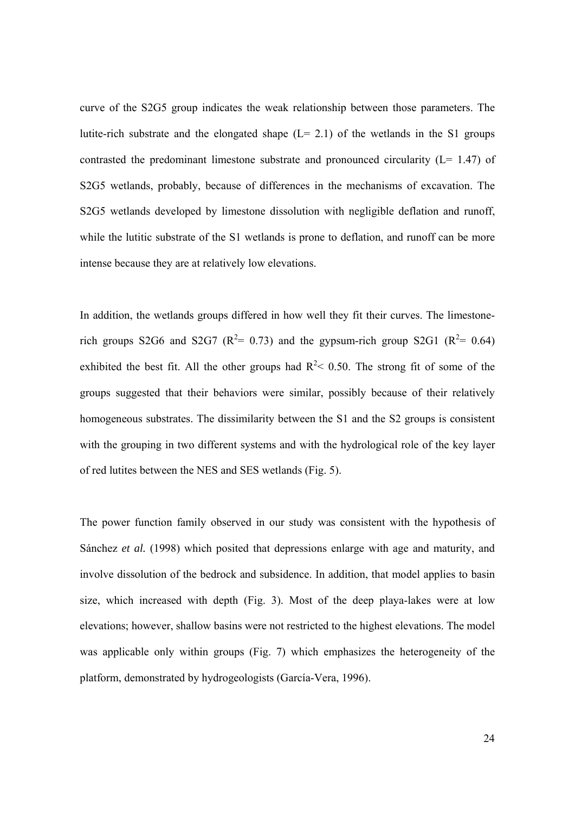curve of the S2G5 group indicates the weak relationship between those parameters. The lutite-rich substrate and the elongated shape  $(L= 2.1)$  of the wetlands in the S1 groups contrasted the predominant limestone substrate and pronounced circularity (L= 1.47) of S2G5 wetlands, probably, because of differences in the mechanisms of excavation. The S2G5 wetlands developed by limestone dissolution with negligible deflation and runoff, while the lutitic substrate of the S1 wetlands is prone to deflation, and runoff can be more intense because they are at relatively low elevations.

In addition, the wetlands groups differed in how well they fit their curves. The limestonerich groups S2G6 and S2G7 ( $R^2 = 0.73$ ) and the gypsum-rich group S2G1 ( $R^2 = 0.64$ ) exhibited the best fit. All the other groups had  $R^2$  < 0.50. The strong fit of some of the groups suggested that their behaviors were similar, possibly because of their relatively homogeneous substrates. The dissimilarity between the S1 and the S2 groups is consistent with the grouping in two different systems and with the hydrological role of the key layer of red lutites between the NES and SES wetlands (Fig. 5).

The power function family observed in our study was consistent with the hypothesis of Sánchez *et al.* (1998) which posited that depressions enlarge with age and maturity, and involve dissolution of the bedrock and subsidence. In addition, that model applies to basin size, which increased with depth (Fig. 3). Most of the deep playa-lakes were at low elevations; however, shallow basins were not restricted to the highest elevations. The model was applicable only within groups (Fig. 7) which emphasizes the heterogeneity of the platform, demonstrated by hydrogeologists (García-Vera, 1996).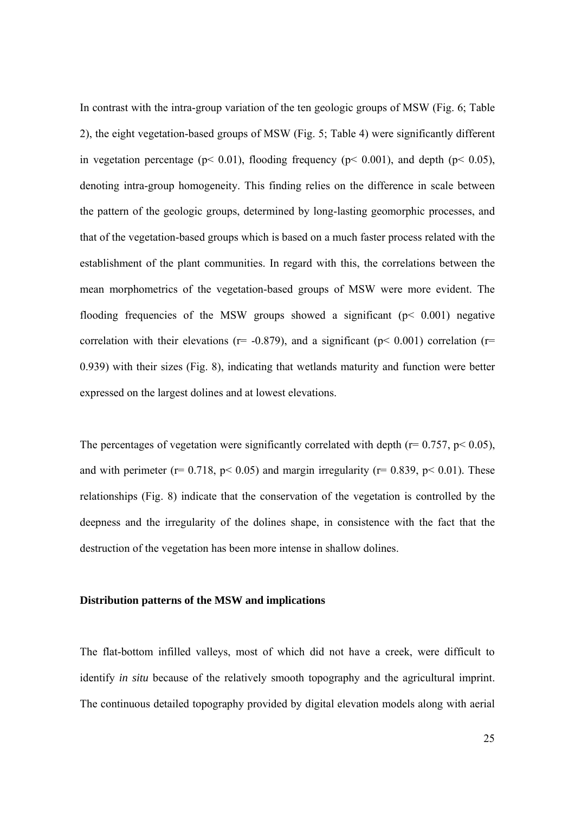In contrast with the intra-group variation of the ten geologic groups of MSW (Fig. 6; Table 2), the eight vegetation-based groups of MSW (Fig. 5; Table 4) were significantly different in vegetation percentage ( $p < 0.01$ ), flooding frequency ( $p < 0.001$ ), and depth ( $p < 0.05$ ), denoting intra-group homogeneity. This finding relies on the difference in scale between the pattern of the geologic groups, determined by long-lasting geomorphic processes, and that of the vegetation-based groups which is based on a much faster process related with the establishment of the plant communities. In regard with this, the correlations between the mean morphometrics of the vegetation-based groups of MSW were more evident. The flooding frequencies of the MSW groups showed a significant ( $p < 0.001$ ) negative correlation with their elevations ( $r=$  -0.879), and a significant ( $p<$  0.001) correlation ( $r=$ 0.939) with their sizes (Fig. 8), indicating that wetlands maturity and function were better expressed on the largest dolines and at lowest elevations.

The percentages of vegetation were significantly correlated with depth ( $r = 0.757$ ,  $p < 0.05$ ), and with perimeter ( $r= 0.718$ ,  $p< 0.05$ ) and margin irregularity ( $r= 0.839$ ,  $p< 0.01$ ). These relationships (Fig. 8) indicate that the conservation of the vegetation is controlled by the deepness and the irregularity of the dolines shape, in consistence with the fact that the destruction of the vegetation has been more intense in shallow dolines.

## **Distribution patterns of the MSW and implications**

The flat-bottom infilled valleys, most of which did not have a creek, were difficult to identify *in situ* because of the relatively smooth topography and the agricultural imprint. The continuous detailed topography provided by digital elevation models along with aerial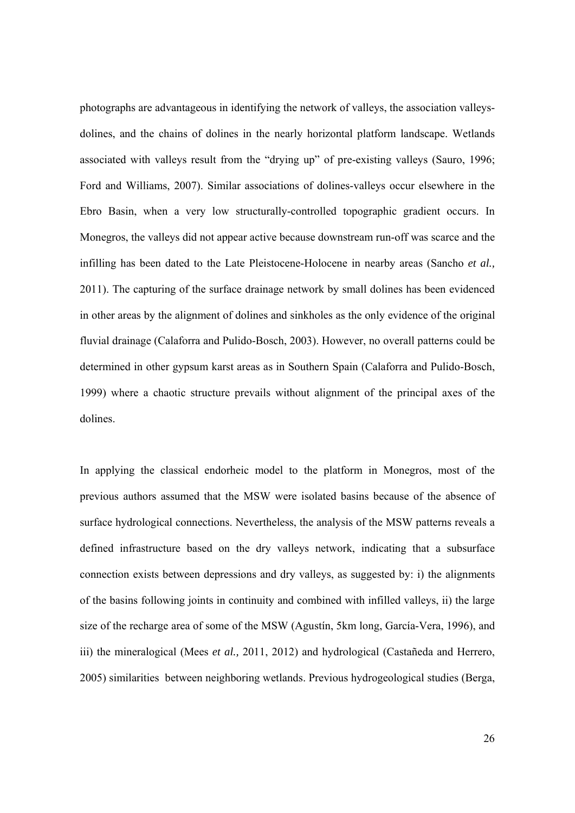photographs are advantageous in identifying the network of valleys, the association valleysdolines, and the chains of dolines in the nearly horizontal platform landscape. Wetlands associated with valleys result from the "drying up" of pre-existing valleys (Sauro, 1996; Ford and Williams, 2007). Similar associations of dolines-valleys occur elsewhere in the Ebro Basin, when a very low structurally-controlled topographic gradient occurs. In Monegros, the valleys did not appear active because downstream run-off was scarce and the infilling has been dated to the Late Pleistocene-Holocene in nearby areas (Sancho *et al.,* 2011). The capturing of the surface drainage network by small dolines has been evidenced in other areas by the alignment of dolines and sinkholes as the only evidence of the original fluvial drainage (Calaforra and Pulido-Bosch, 2003). However, no overall patterns could be determined in other gypsum karst areas as in Southern Spain (Calaforra and Pulido-Bosch, 1999) where a chaotic structure prevails without alignment of the principal axes of the dolines.

In applying the classical endorheic model to the platform in Monegros, most of the previous authors assumed that the MSW were isolated basins because of the absence of surface hydrological connections. Nevertheless, the analysis of the MSW patterns reveals a defined infrastructure based on the dry valleys network, indicating that a subsurface connection exists between depressions and dry valleys, as suggested by: i) the alignments of the basins following joints in continuity and combined with infilled valleys, ii) the large size of the recharge area of some of the MSW (Agustín, 5km long, García-Vera, 1996), and iii) the mineralogical (Mees *et al.,* 2011, 2012) and hydrological (Castañeda and Herrero, 2005) similarities between neighboring wetlands. Previous hydrogeological studies (Berga,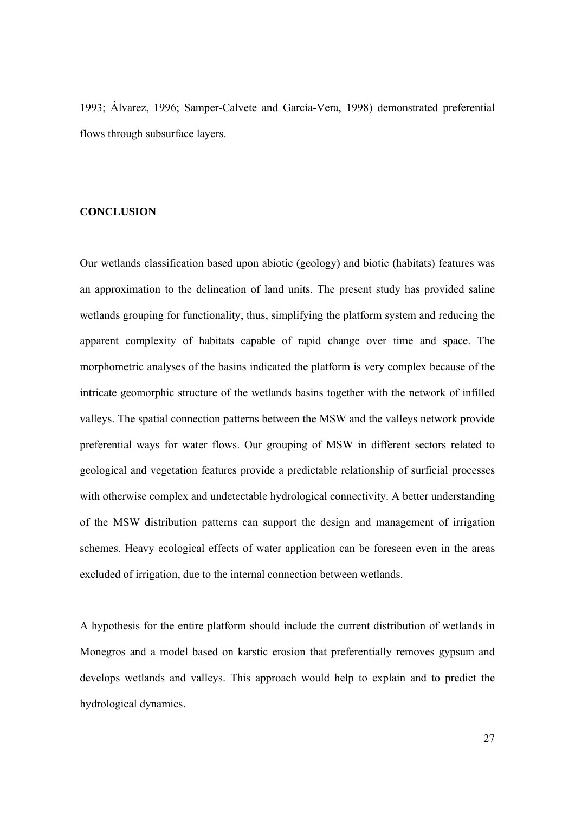1993; Álvarez, 1996; Samper-Calvete and García-Vera, 1998) demonstrated preferential flows through subsurface layers.

## **CONCLUSION**

Our wetlands classification based upon abiotic (geology) and biotic (habitats) features was an approximation to the delineation of land units. The present study has provided saline wetlands grouping for functionality, thus, simplifying the platform system and reducing the apparent complexity of habitats capable of rapid change over time and space. The morphometric analyses of the basins indicated the platform is very complex because of the intricate geomorphic structure of the wetlands basins together with the network of infilled valleys. The spatial connection patterns between the MSW and the valleys network provide preferential ways for water flows. Our grouping of MSW in different sectors related to geological and vegetation features provide a predictable relationship of surficial processes with otherwise complex and undetectable hydrological connectivity. A better understanding of the MSW distribution patterns can support the design and management of irrigation schemes. Heavy ecological effects of water application can be foreseen even in the areas excluded of irrigation, due to the internal connection between wetlands.

A hypothesis for the entire platform should include the current distribution of wetlands in Monegros and a model based on karstic erosion that preferentially removes gypsum and develops wetlands and valleys. This approach would help to explain and to predict the hydrological dynamics.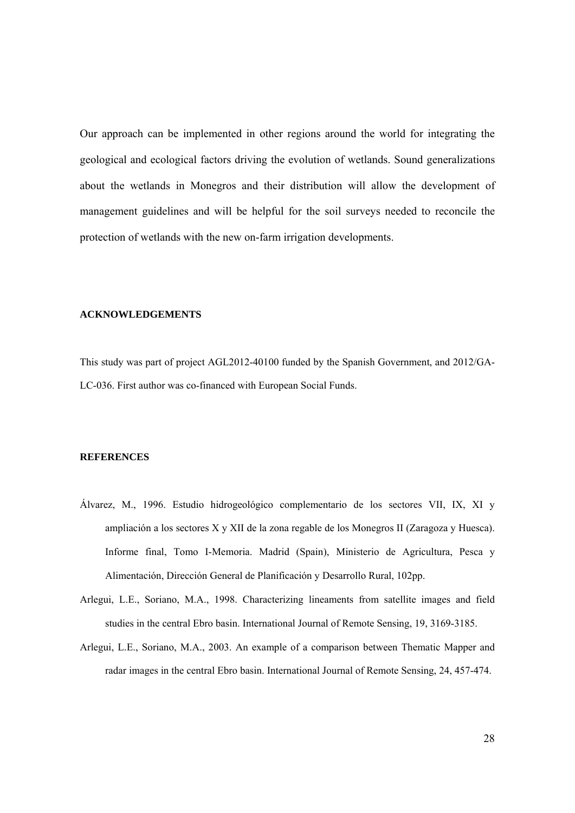Our approach can be implemented in other regions around the world for integrating the geological and ecological factors driving the evolution of wetlands. Sound generalizations about the wetlands in Monegros and their distribution will allow the development of management guidelines and will be helpful for the soil surveys needed to reconcile the protection of wetlands with the new on-farm irrigation developments.

### **ACKNOWLEDGEMENTS**

This study was part of project AGL2012-40100 funded by the Spanish Government, and 2012/GA-LC-036. First author was co-financed with European Social Funds.

#### **REFERENCES**

- Álvarez, M., 1996. Estudio hidrogeológico complementario de los sectores VII, IX, XI y ampliación a los sectores X y XII de la zona regable de los Monegros II (Zaragoza y Huesca). Informe final, Tomo I-Memoria. Madrid (Spain), Ministerio de Agricultura, Pesca y Alimentación, Dirección General de Planificación y Desarrollo Rural, 102pp.
- Arlegui, L.E., Soriano, M.A., 1998. Characterizing lineaments from satellite images and field studies in the central Ebro basin. International Journal of Remote Sensing, 19, 3169-3185.
- Arlegui, L.E., Soriano, M.A., 2003. An example of a comparison between Thematic Mapper and radar images in the central Ebro basin. International Journal of Remote Sensing, 24, 457-474.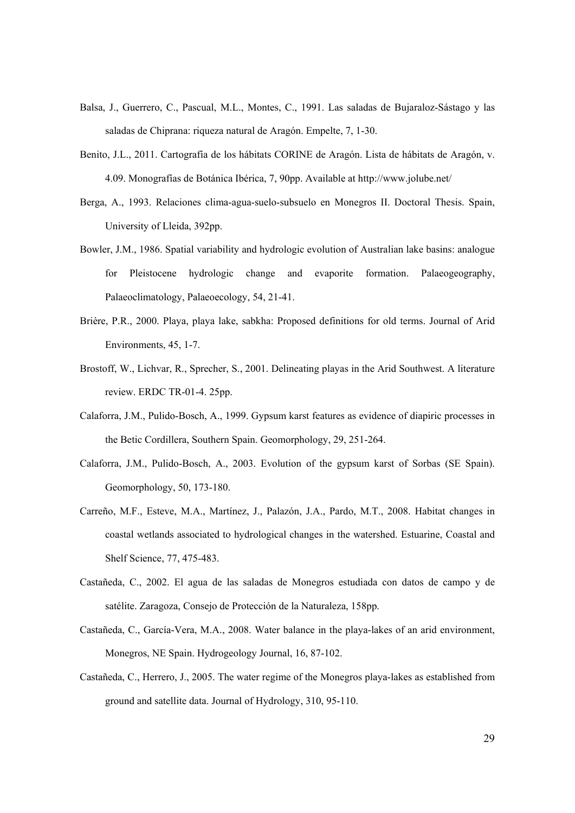- Balsa, J., Guerrero, C., Pascual, M.L., Montes, C., 1991. Las saladas de Bujaraloz-Sástago y las saladas de Chiprana: riqueza natural de Aragón. Empelte, 7, 1-30.
- Benito, J.L., 2011. Cartografía de los hábitats CORINE de Aragón. Lista de hábitats de Aragón, v. 4.09. Monografías de Botánica Ibérica, 7, 90pp. Available at http://www.jolube.net/
- Berga, A., 1993. Relaciones clima-agua-suelo-subsuelo en Monegros II. Doctoral Thesis. Spain, University of Lleida, 392pp.
- Bowler, J.M., 1986. Spatial variability and hydrologic evolution of Australian lake basins: analogue for Pleistocene hydrologic change and evaporite formation. Palaeogeography, Palaeoclimatology, Palaeoecology, 54, 21-41.
- Brière, P.R., 2000. Playa, playa lake, sabkha: Proposed definitions for old terms. Journal of Arid Environments, 45, 1-7.
- Brostoff, W., Lichvar, R., Sprecher, S., 2001. Delineating playas in the Arid Southwest. A literature review. ERDC TR-01-4. 25pp.
- Calaforra, J.M., Pulido-Bosch, A., 1999. Gypsum karst features as evidence of diapiric processes in the Betic Cordillera, Southern Spain. Geomorphology, 29, 251-264.
- Calaforra, J.M., Pulido-Bosch, A., 2003. Evolution of the gypsum karst of Sorbas (SE Spain). Geomorphology, 50, 173-180.
- Carreño, M.F., Esteve, M.A., Martínez, J., Palazón, J.A., Pardo, M.T., 2008. Habitat changes in coastal wetlands associated to hydrological changes in the watershed. Estuarine, Coastal and Shelf Science, 77, 475-483.
- Castañeda, C., 2002. El agua de las saladas de Monegros estudiada con datos de campo y de satélite. Zaragoza, Consejo de Protección de la Naturaleza, 158pp.
- Castañeda, C., García-Vera, M.A., 2008. Water balance in the playa-lakes of an arid environment, Monegros, NE Spain. Hydrogeology Journal, 16, 87-102.
- Castañeda, C., Herrero, J., 2005. The water regime of the Monegros playa-lakes as established from ground and satellite data. Journal of Hydrology, 310, 95-110.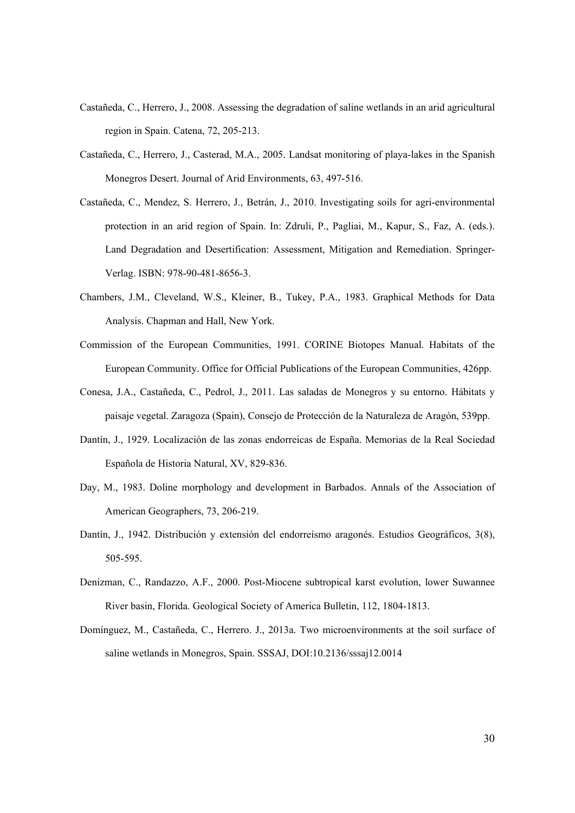- Castañeda, C., Herrero, J., 2008. Assessing the degradation of saline wetlands in an arid agricultural region in Spain. Catena, 72, 205-213.
- Castañeda, C., Herrero, J., Casterad, M.A., 2005. Landsat monitoring of playa-lakes in the Spanish Monegros Desert. Journal of Arid Environments, 63, 497-516.
- Castañeda, C., Mendez, S. Herrero, J., Betrán, J., 2010. Investigating soils for agri-environmental protection in an arid region of Spain. In: Zdruli, P., Pagliai, M., Kapur, S., Faz, A. (eds.). Land Degradation and Desertification: Assessment, Mitigation and Remediation. Springer-Verlag. ISBN: 978-90-481-8656-3.
- Chambers, J.M., Cleveland, W.S., Kleiner, B., Tukey, P.A., 1983. Graphical Methods for Data Analysis. Chapman and Hall, New York.
- Commission of the European Communities, 1991. CORINE Biotopes Manual. Habitats of the European Community. Office for Official Publications of the European Communities, 426pp.
- Conesa, J.A., Castañeda, C., Pedrol, J., 2011. Las saladas de Monegros y su entorno. Hábitats y paisaje vegetal. Zaragoza (Spain), Consejo de Protección de la Naturaleza de Aragón, 539pp.
- Dantín, J., 1929. Localización de las zonas endorreicas de España. Memorias de la Real Sociedad Española de Historia Natural, XV, 829-836.
- Day, M., 1983. Doline morphology and development in Barbados. Annals of the Association of American Geographers, 73, 206-219.
- Dantín, J., 1942. Distribución y extensión del endorreísmo aragonés. Estudios Geográficos, 3(8), 505-595.
- Denizman, C., Randazzo, A.F., 2000. Post-Miocene subtropical karst evolution, lower Suwannee River basin, Florida. Geological Society of America Bulletin, 112, 1804-1813.
- Domínguez, M., Castañeda, C., Herrero. J., 2013a. Two microenvironments at the soil surface of saline wetlands in Monegros, Spain. SSSAJ, DOI:10.2136/sssaj12.0014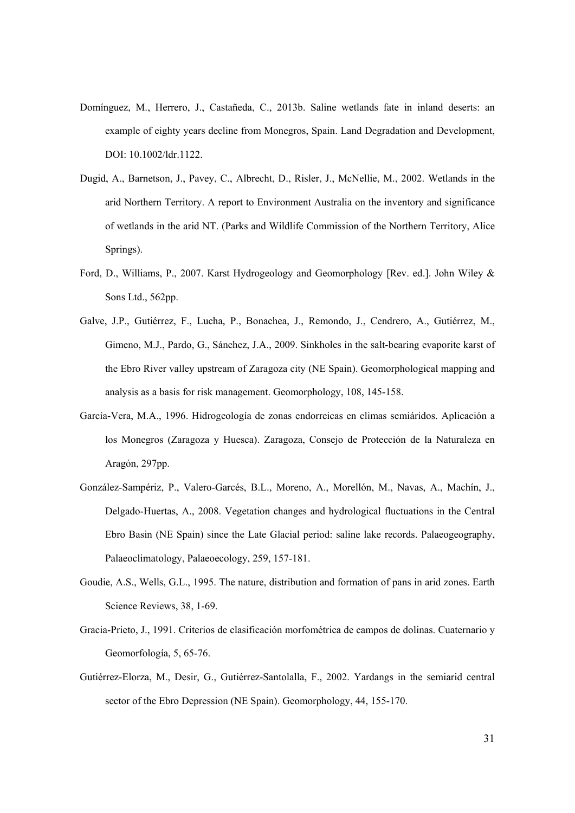- Domínguez, M., Herrero, J., Castañeda, C., 2013b. Saline wetlands fate in inland deserts: an example of eighty years decline from Monegros, Spain. Land Degradation and Development, DOI: 10.1002/ldr.1122.
- Dugid, A., Barnetson, J., Pavey, C., Albrecht, D., Risler, J., McNellie, M., 2002. Wetlands in the arid Northern Territory. A report to Environment Australia on the inventory and significance of wetlands in the arid NT. (Parks and Wildlife Commission of the Northern Territory, Alice Springs).
- Ford, D., Williams, P., 2007. Karst Hydrogeology and Geomorphology [Rev. ed.]. John Wiley & Sons Ltd., 562pp.
- Galve, J.P., Gutiérrez, F., Lucha, P., Bonachea, J., Remondo, J., Cendrero, A., Gutiérrez, M., Gimeno, M.J., Pardo, G., Sánchez, J.A., 2009. Sinkholes in the salt-bearing evaporite karst of the Ebro River valley upstream of Zaragoza city (NE Spain). Geomorphological mapping and analysis as a basis for risk management. Geomorphology, 108, 145-158.
- García-Vera, M.A., 1996. Hidrogeología de zonas endorreicas en climas semiáridos. Aplicación a los Monegros (Zaragoza y Huesca). Zaragoza, Consejo de Protección de la Naturaleza en Aragón, 297pp.
- González-Sampériz, P., Valero-Garcés, B.L., Moreno, A., Morellón, M., Navas, A., Machín, J., Delgado-Huertas, A., 2008. Vegetation changes and hydrological fluctuations in the Central Ebro Basin (NE Spain) since the Late Glacial period: saline lake records. Palaeogeography, Palaeoclimatology, Palaeoecology, 259, 157-181.
- Goudie, A.S., Wells, G.L., 1995. The nature, distribution and formation of pans in arid zones. Earth Science Reviews, 38, 1-69.
- Gracia-Prieto, J., 1991. Criterios de clasificación morfométrica de campos de dolinas. Cuaternario y Geomorfología, 5, 65-76.
- Gutiérrez-Elorza, M., Desir, G., Gutiérrez-Santolalla, F., 2002. Yardangs in the semiarid central sector of the Ebro Depression (NE Spain). Geomorphology, 44, 155-170.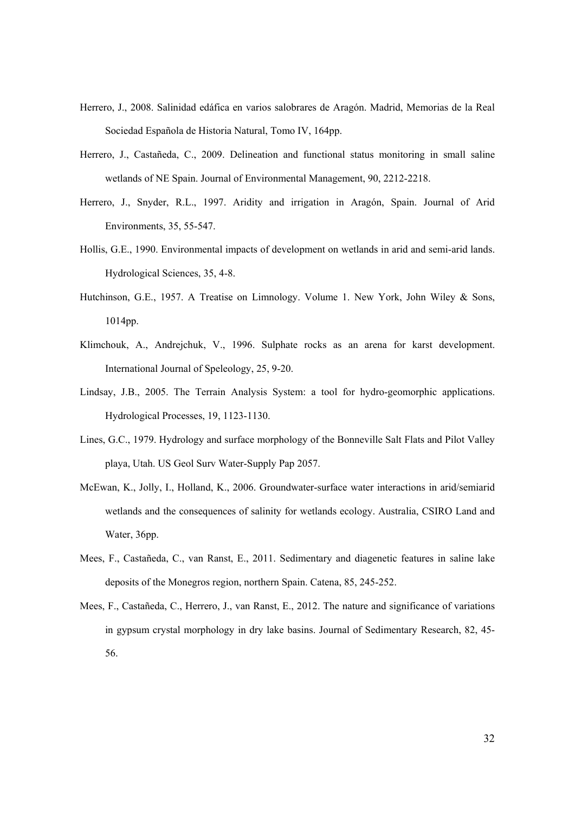- Herrero, J., 2008. Salinidad edáfica en varios salobrares de Aragón. Madrid, Memorias de la Real Sociedad Española de Historia Natural, Tomo IV, 164pp.
- Herrero, J., Castañeda, C., 2009. Delineation and functional status monitoring in small saline wetlands of NE Spain. Journal of Environmental Management, 90, 2212-2218.
- Herrero, J., Snyder, R.L., 1997. Aridity and irrigation in Aragón, Spain. Journal of Arid Environments, 35, 55-547.
- Hollis, G.E., 1990. Environmental impacts of development on wetlands in arid and semi-arid lands. Hydrological Sciences, 35, 4-8.
- Hutchinson, G.E., 1957. A Treatise on Limnology. Volume 1. New York, John Wiley & Sons, 1014pp.
- Klimchouk, A., Andrejchuk, V., 1996. Sulphate rocks as an arena for karst development. International Journal of Speleology, 25, 9-20.
- Lindsay, J.B., 2005. The Terrain Analysis System: a tool for hydro-geomorphic applications. Hydrological Processes, 19, 1123-1130.
- Lines, G.C., 1979. Hydrology and surface morphology of the Bonneville Salt Flats and Pilot Valley playa, Utah. US Geol Surv Water-Supply Pap 2057.
- McEwan, K., Jolly, I., Holland, K., 2006. Groundwater-surface water interactions in arid/semiarid wetlands and the consequences of salinity for wetlands ecology. Australia, CSIRO Land and Water, 36pp.
- Mees, F., Castañeda, C., van Ranst, E., 2011. Sedimentary and diagenetic features in saline lake deposits of the Monegros region, northern Spain. Catena, 85, 245-252.
- Mees, F., Castañeda, C., Herrero, J., van Ranst, E., 2012. The nature and significance of variations in gypsum crystal morphology in dry lake basins. Journal of Sedimentary Research, 82, 45- 56.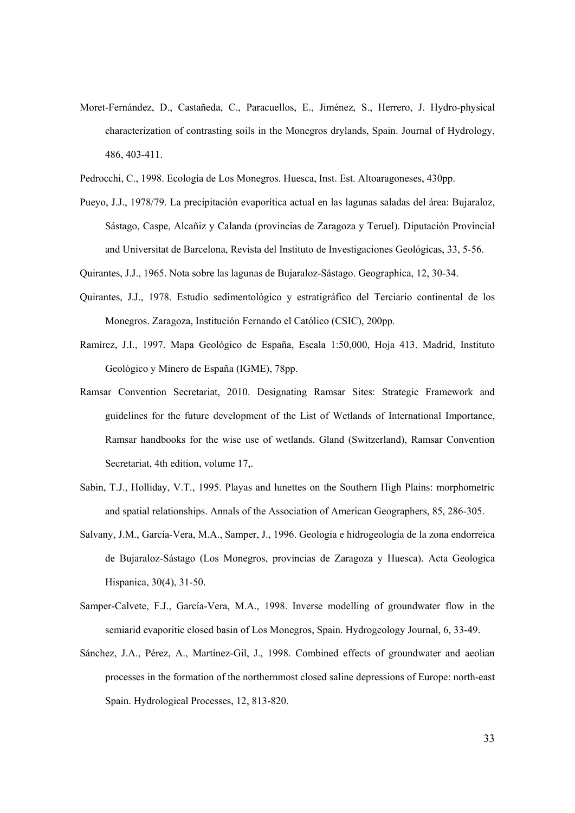- Moret-Fernández, D., Castañeda, C., Paracuellos, E., Jiménez, S., Herrero, J. Hydro-physical characterization of contrasting soils in the Monegros drylands, Spain. Journal of Hydrology, 486, 403-411.
- Pedrocchi, C., 1998. Ecología de Los Monegros. Huesca, Inst. Est. Altoaragoneses, 430pp.
- Pueyo, J.J., 1978/79. La precipitación evaporítica actual en las lagunas saladas del área: Bujaraloz, Sástago, Caspe, Alcañiz y Calanda (provincias de Zaragoza y Teruel). Diputación Provincial and Universitat de Barcelona, Revista del Instituto de Investigaciones Geológicas, 33, 5-56.
- Quirantes, J.J., 1965. Nota sobre las lagunas de Bujaraloz-Sástago. Geographica, 12, 30-34.
- Quirantes, J.J., 1978. Estudio sedimentológico y estratigráfico del Terciario continental de los Monegros. Zaragoza, Institución Fernando el Católico (CSIC), 200pp.
- Ramírez, J.I., 1997. Mapa Geológico de España, Escala 1:50,000, Hoja 413. Madrid, Instituto Geológico y Minero de España (IGME), 78pp.
- Ramsar Convention Secretariat, 2010. Designating Ramsar Sites: Strategic Framework and guidelines for the future development of the List of Wetlands of International Importance, Ramsar handbooks for the wise use of wetlands. Gland (Switzerland), Ramsar Convention Secretariat, 4th edition, volume 17,.
- Sabin, T.J., Holliday, V.T., 1995. Playas and lunettes on the Southern High Plains: morphometric and spatial relationships. Annals of the Association of American Geographers, 85, 286-305.
- Salvany, J.M., García-Vera, M.A., Samper, J., 1996. Geología e hidrogeología de la zona endorreica de Bujaraloz-Sástago (Los Monegros, provincias de Zaragoza y Huesca). Acta Geologica Hispanica, 30(4), 31-50.
- Samper-Calvete, F.J., García-Vera, M.A., 1998. Inverse modelling of groundwater flow in the semiarid evaporitic closed basin of Los Monegros, Spain. Hydrogeology Journal, 6, 33-49.
- Sánchez, J.A., Pérez, A., Martínez-Gil, J., 1998. Combined effects of groundwater and aeolian processes in the formation of the northernmost closed saline depressions of Europe: north-east Spain. Hydrological Processes, 12, 813-820.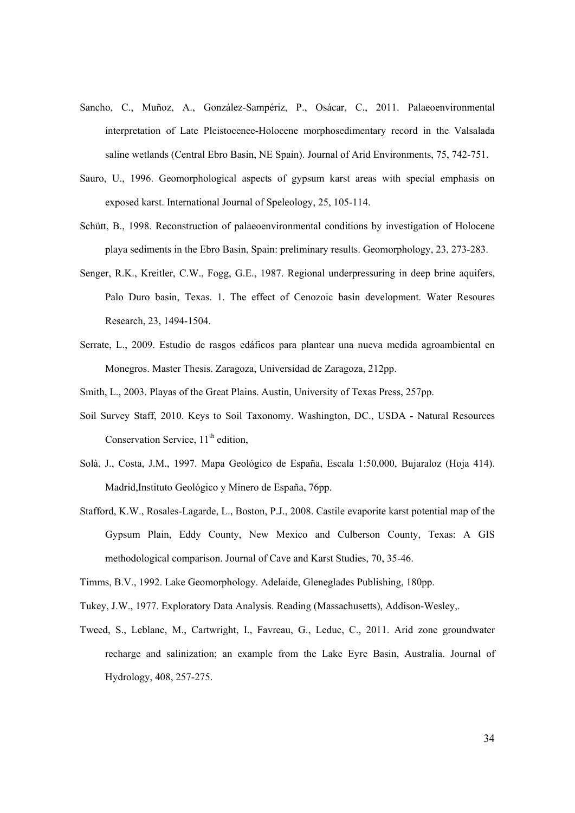- Sancho, C., Muñoz, A., González-Sampériz, P., Osácar, C., 2011. Palaeoenvironmental interpretation of Late Pleistocenee-Holocene morphosedimentary record in the Valsalada saline wetlands (Central Ebro Basin, NE Spain). Journal of Arid Environments, 75, 742-751.
- Sauro, U., 1996. Geomorphological aspects of gypsum karst areas with special emphasis on exposed karst. International Journal of Speleology, 25, 105-114.
- Schütt, B., 1998. Reconstruction of palaeoenvironmental conditions by investigation of Holocene playa sediments in the Ebro Basin, Spain: preliminary results. Geomorphology, 23, 273-283.
- Senger, R.K., Kreitler, C.W., Fogg, G.E., 1987. Regional underpressuring in deep brine aquifers, Palo Duro basin, Texas. 1. The effect of Cenozoic basin development. Water Resoures Research, 23, 1494-1504.
- Serrate, L., 2009. Estudio de rasgos edáficos para plantear una nueva medida agroambiental en Monegros. Master Thesis. Zaragoza, Universidad de Zaragoza, 212pp.
- Smith, L., 2003. Playas of the Great Plains. Austin, University of Texas Press, 257pp.
- Soil Survey Staff, 2010. Keys to Soil Taxonomy. Washington, DC., USDA Natural Resources Conservation Service,  $11<sup>th</sup>$  edition,
- Solà, J., Costa, J.M., 1997. Mapa Geológico de España, Escala 1:50,000, Bujaraloz (Hoja 414). Madrid,Instituto Geológico y Minero de España, 76pp.
- Stafford, K.W., Rosales-Lagarde, L., Boston, P.J., 2008. Castile evaporite karst potential map of the Gypsum Plain, Eddy County, New Mexico and Culberson County, Texas: A GIS methodological comparison. Journal of Cave and Karst Studies, 70, 35-46.
- Timms, B.V., 1992. Lake Geomorphology. Adelaide, Gleneglades Publishing, 180pp.
- Tukey, J.W., 1977. Exploratory Data Analysis. Reading (Massachusetts), Addison-Wesley,.
- Tweed, S., Leblanc, M., Cartwright, I., Favreau, G., Leduc, C., 2011. Arid zone groundwater recharge and salinization; an example from the Lake Eyre Basin, Australia. Journal of Hydrology, 408, 257-275.